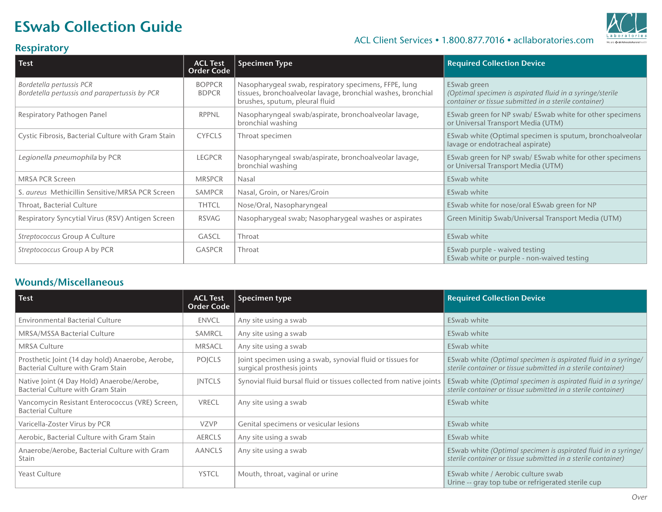## ESwab Collection Guide



#### ACL Client Services • 1.800.877.7016 • acllaboratories.com

### **Respiratory**

| <b>Test</b>                                                               | <b>ACL Test</b><br><b>Order Code</b> | <b>Specimen Type</b>                                                                                                                                    | <b>Required Collection Device</b>                                                                                                 |
|---------------------------------------------------------------------------|--------------------------------------|---------------------------------------------------------------------------------------------------------------------------------------------------------|-----------------------------------------------------------------------------------------------------------------------------------|
| Bordetella pertussis PCR<br>Bordetella pertussis and parapertussis by PCR | <b>BOPPCR</b><br><b>BDPCR</b>        | Nasopharygeal swab, respiratory specimens, FFPE, lung<br>tissues, bronchoalveolar lavage, bronchial washes, bronchial<br>brushes, sputum, pleural fluid | ESwab green<br>(Optimal specimen is aspirated fluid in a syringe/sterile<br>container or tissue submitted in a sterile container) |
| Respiratory Pathogen Panel                                                | RPPNL                                | Nasopharyngeal swab/aspirate, bronchoalveolar lavage,<br>bronchial washing                                                                              | ESwab green for NP swab/ ESwab white for other specimens<br>or Universal Transport Media (UTM)                                    |
| Cystic Fibrosis, Bacterial Culture with Gram Stain                        | <b>CYFCLS</b>                        | Throat specimen                                                                                                                                         | ESwab white (Optimal specimen is sputum, bronchoalveolar<br>lavage or endotracheal aspirate)                                      |
| Legionella pneumophila by PCR                                             | <b>LEGPCR</b>                        | Nasopharyngeal swab/aspirate, bronchoalveolar lavage,<br>bronchial washing                                                                              | ESwab green for NP swab/ ESwab white for other specimens<br>or Universal Transport Media (UTM)                                    |
| <b>MRSA PCR Screen</b>                                                    | <b>MRSPCR</b>                        | Nasal                                                                                                                                                   | ESwab white                                                                                                                       |
| S. aureus Methicillin Sensitive/MRSA PCR Screen                           | <b>SAMPCR</b>                        | Nasal, Groin, or Nares/Groin                                                                                                                            | ESwab white                                                                                                                       |
| Throat, Bacterial Culture                                                 | <b>THTCL</b>                         | Nose/Oral, Nasopharyngeal                                                                                                                               | ESwab white for nose/oral ESwab green for NP                                                                                      |
| Respiratory Syncytial Virus (RSV) Antigen Screen                          | RSVAG                                | Nasopharygeal swab; Nasopharygeal washes or aspirates                                                                                                   | Green Minitip Swab/Universal Transport Media (UTM)                                                                                |
| Streptococcus Group A Culture                                             | <b>GASCL</b>                         | Throat                                                                                                                                                  | ESwab white                                                                                                                       |
| Streptococcus Group A by PCR                                              | <b>GASPCR</b>                        | Throat                                                                                                                                                  | ESwab purple - waived testing<br>ESwab white or purple - non-waived testing                                                       |

#### Wounds/Miscellaneous

| Test                                                                                  | <b>ACL Test</b><br><b>Order Code</b> | Specimen type                                                                            | <b>Required Collection Device</b>                                                                                               |
|---------------------------------------------------------------------------------------|--------------------------------------|------------------------------------------------------------------------------------------|---------------------------------------------------------------------------------------------------------------------------------|
| <b>Environmental Bacterial Culture</b>                                                | <b>ENVCL</b>                         | Any site using a swab                                                                    | ESwab white                                                                                                                     |
| <b>MRSA/MSSA Bacterial Culture</b>                                                    | SAMRCL                               | Any site using a swab                                                                    | ESwab white                                                                                                                     |
| <b>MRSA Culture</b>                                                                   | <b>MRSACL</b>                        | Any site using a swab                                                                    | ESwab white                                                                                                                     |
| Prosthetic Joint (14 day hold) Anaerobe, Aerobe,<br>Bacterial Culture with Gram Stain | POICLS                               | Joint specimen using a swab, synovial fluid or tissues for<br>surgical prosthesis joints | ESwab white (Optimal specimen is aspirated fluid in a syringe/<br>sterile container or tissue submitted in a sterile container) |
| Native Joint (4 Day Hold) Anaerobe/Aerobe,<br>Bacterial Culture with Gram Stain       | <b>INTCLS</b>                        | Synovial fluid bursal fluid or tissues collected from native joints                      | ESwab white (Optimal specimen is aspirated fluid in a syringe/<br>sterile container or tissue submitted in a sterile container) |
| Vancomycin Resistant Enterococcus (VRE) Screen,<br><b>Bacterial Culture</b>           | <b>VRECL</b>                         | Any site using a swab                                                                    | ESwab white                                                                                                                     |
| Varicella-Zoster Virus by PCR                                                         | <b>VZVP</b>                          | Genital specimens or vesicular lesions                                                   | ESwab white                                                                                                                     |
| Aerobic, Bacterial Culture with Gram Stain                                            | <b>AERCLS</b>                        | Any site using a swab                                                                    | ESwab white                                                                                                                     |
| Anaerobe/Aerobe, Bacterial Culture with Gram<br>Stain                                 | <b>AANCLS</b>                        | Any site using a swab                                                                    | ESwab white (Optimal specimen is aspirated fluid in a syringe/<br>sterile container or tissue submitted in a sterile container) |
| Yeast Culture                                                                         | <b>YSTCL</b>                         | Mouth, throat, vaginal or urine                                                          | ESwab white / Aerobic culture swab<br>Urine -- gray top tube or refrigerated sterile cup                                        |